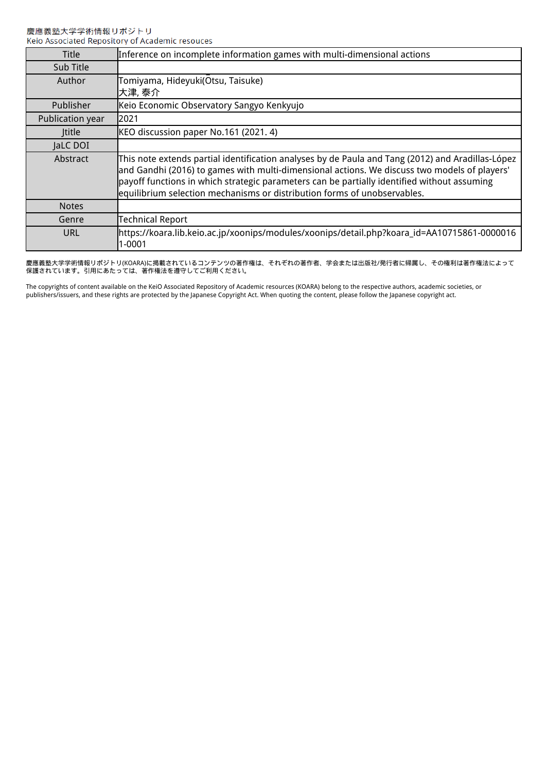| <b>Title</b>     | Inference on incomplete information games with multi-dimensional actions                                                                                                                                                                                                                                                                                                     |
|------------------|------------------------------------------------------------------------------------------------------------------------------------------------------------------------------------------------------------------------------------------------------------------------------------------------------------------------------------------------------------------------------|
| Sub Title        |                                                                                                                                                                                                                                                                                                                                                                              |
| Author           | Tomiyama, Hideyuki(Otsu, Taisuke)<br>大津, 泰介                                                                                                                                                                                                                                                                                                                                  |
| <b>Publisher</b> | Keio Economic Observatory Sangyo Kenkyujo                                                                                                                                                                                                                                                                                                                                    |
| Publication year | 2021                                                                                                                                                                                                                                                                                                                                                                         |
| <b>Ititle</b>    | KEO discussion paper No.161 (2021. 4)                                                                                                                                                                                                                                                                                                                                        |
| JaLC DOI         |                                                                                                                                                                                                                                                                                                                                                                              |
| Abstract         | This note extends partial identification analyses by de Paula and Tang (2012) and Aradillas-López<br>and Gandhi (2016) to games with multi-dimensional actions. We discuss two models of players'<br>payoff functions in which strategic parameters can be partially identified without assuming<br>equilibrium selection mechanisms or distribution forms of unobservables. |
| <b>Notes</b>     |                                                                                                                                                                                                                                                                                                                                                                              |
| Genre            | <b>Technical Report</b>                                                                                                                                                                                                                                                                                                                                                      |
| URL              | https://koara.lib.keio.ac.jp/xoonips/modules/xoonips/detail.php?koara_id=AA10715861-0000016<br>1-0001                                                                                                                                                                                                                                                                        |

慶應義塾大学学術情報リポジトリ(KOARA)に掲載されているコンテンツの著作権は、それぞれの著作者、学会または出版社/発行者に帰属し、その権利は著作権法によって 保護されています。引用にあたっては、著作権法を遵守してご利用ください。

The copyrights of content available on the KeiO Associated Repository of Academic resources (KOARA) belong to the respective authors, academic societies, or publishers/issuers, and these rights are protected by the Japanese Copyright Act. When quoting the content, please follow the Japanese copyright act.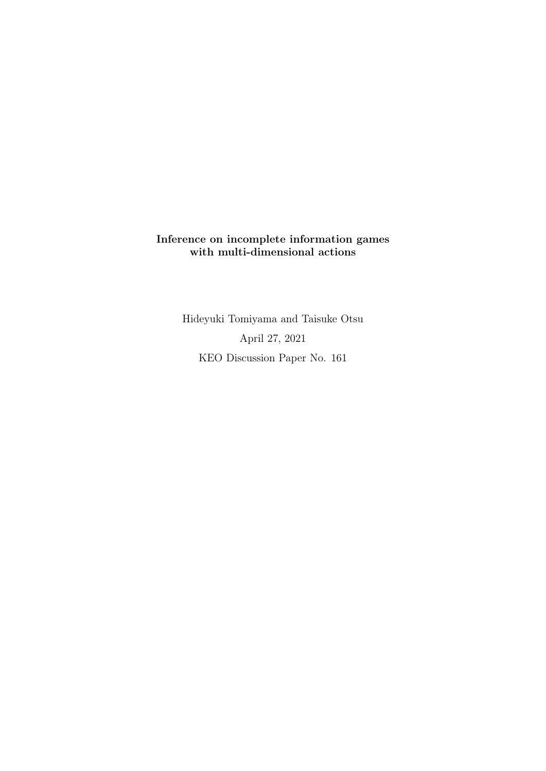# Inference on incomplete information games with multi-dimensional actions

Hideyuki Tomiyama and Taisuke Otsu April 27, 2021 KEO Discussion Paper No. 161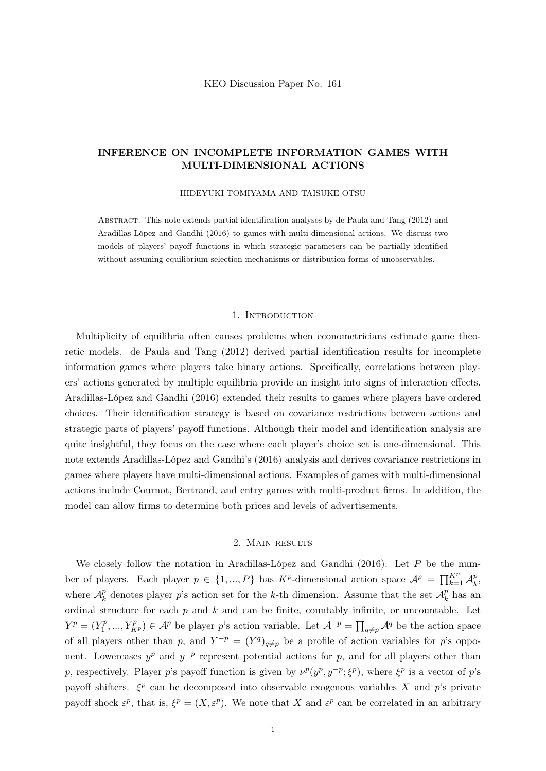## INFERENCE ON INCOMPLETE INFORMATION GAMES WITH MULTI-DIMENSIONAL ACTIONS

#### HIDEYUKI TOMIYAMA AND TAISUKE OTSU

Abstract. This note extends partial identification analyses by de Paula and Tang (2012) and Aradillas-López and Gandhi (2016) to games with multi-dimensional actions. We discuss two models of players' payoff functions in which strategic parameters can be partially identified without assuming equilibrium selection mechanisms or distribution forms of unobservables.

#### 1. INTRODUCTION

Multiplicity of equilibria often causes problems when econometricians estimate game theoretic models. de Paula and Tang (2012) derived partial identification results for incomplete information games where players take binary actions. Specifically, correlations between players' actions generated by multiple equilibria provide an insight into signs of interaction effects. Aradillas-López and Gandhi (2016) extended their results to games where players have ordered choices. Their identification strategy is based on covariance restrictions between actions and strategic parts of players' payoff functions. Although their model and identification analysis are quite insightful, they focus on the case where each player's choice set is one-dimensional. This note extends Aradillas-López and Gandhi's (2016) analysis and derives covariance restrictions in games where players have multi-dimensional actions. Examples of games with multi-dimensional actions include Cournot, Bertrand, and entry games with multi-product firms. In addition, the model can allow firms to determine both prices and levels of advertisements.

### 2. Main results

We closely follow the notation in Aradillas-López and Gandhi (2016). Let *P* be the number of players. Each player  $p \in \{1, ..., P\}$  has  $K^p$ -dimensional action space  $\mathcal{A}^p = \prod_{k=1}^{K^p} \mathcal{A}_k^p$ , where  $\mathcal{A}_k^p$  denotes player *p*'s action set for the *k*-th dimension. Assume that the set  $\mathcal{A}_k^p$  has an ordinal structure for each *p* and *k* and can be finite, countably infinite, or uncountable. Let  $Y^p = (Y_1^p, ..., Y_{K^p}^p) \in \mathcal{A}^p$  be player *p*'s action variable. Let  $\mathcal{A}^{-p} = \prod_{q \neq p} \mathcal{A}^q$  be the action space of all players other than *p*, and  $Y^{-p} = (Y^q)_{q \neq p}$  be a profile of action variables for *p*'s opponent. Lowercases  $y^p$  and  $y^{-p}$  represent potential actions for *p*, and for all players other than *p*, respectively. Player *p*'s payoff function is given by  $\nu^p(y^p, y^{-p}; \xi^p)$ , where  $\xi^p$  is a vector of *p*'s payoff shifters.  $\xi^p$  can be decomposed into observable exogenous variables X and p's private payoff shock  $\varepsilon^p$ , that is,  $\xi^p = (X, \varepsilon^p)$ . We note that X and  $\varepsilon^p$  can be correlated in an arbitrary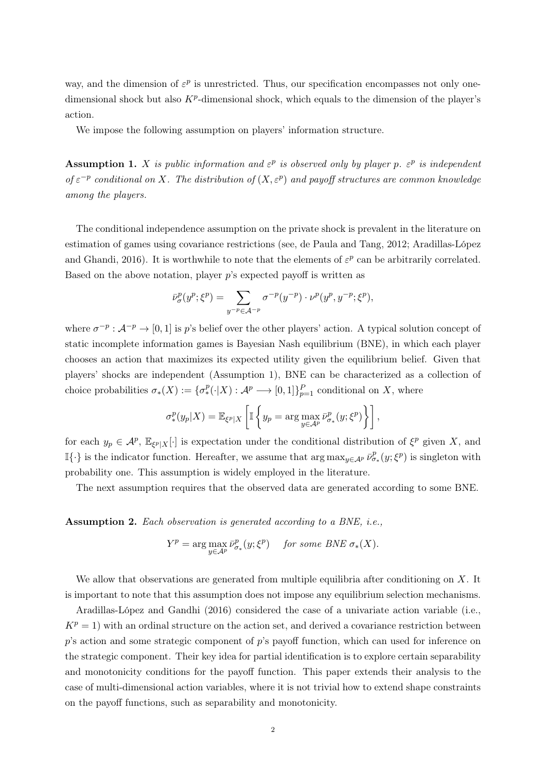way, and the dimension of  $\varepsilon^p$  is unrestricted. Thus, our specification encompasses not only onedimensional shock but also  $K^p$ -dimensional shock, which equals to the dimension of the player's action.

We impose the following assumption on players' information structure.

**Assumption 1.** *X is public information and*  $\varepsilon^p$  *is observed only by player p.*  $\varepsilon^p$  *is independent*  $of \varepsilon^{-p}$  *conditional on X. The distribution of*  $(X, \varepsilon^p)$  *and payoff structures are common knowledge among the players.*

The conditional independence assumption on the private shock is prevalent in the literature on estimation of games using covariance restrictions (see, de Paula and Tang, 2012; Aradillas-López and Ghandi, 2016). It is worthwhile to note that the elements of  $\varepsilon^p$  can be arbitrarily correlated. Based on the above notation, player *p*'s expected payoff is written as

$$
\bar{\nu}^p_{\sigma}(y^p; \xi^p) = \sum_{y^{-p} \in \mathcal{A}^{-p}} \sigma^{-p}(y^{-p}) \cdot \nu^p(y^p, y^{-p}; \xi^p),
$$

where  $\sigma^{-p}$ :  $\mathcal{A}^{-p} \to [0, 1]$  is *p*'s belief over the other players' action. A typical solution concept of static incomplete information games is Bayesian Nash equilibrium (BNE), in which each player chooses an action that maximizes its expected utility given the equilibrium belief. Given that players' shocks are independent (Assumption 1), BNE can be characterized as a collection of choice probabilities  $\sigma_*(X) := {\sigma_*^p(\cdot|X) : \mathcal{A}^p \longrightarrow [0,1]}_{p=1}^P$  conditional on X, where

$$
\sigma_*^p(y_p|X) = \mathbb{E}_{\xi^p|X}\left[\mathbb{I}\left\{y_p = \arg\max_{y \in A^p} \bar{\nu}_{\sigma_*}^p(y;\xi^p)\right\}\right],
$$

for each  $y_p \in \mathcal{A}^p$ ,  $\mathbb{E}_{\xi^p|X}[\cdot]$  is expectation under the conditional distribution of  $\xi^p$  given *X*, and  $\mathbb{I}\{\cdot\}$  is the indicator function. Hereafter, we assume that  $\arg \max_{y \in A^p} \bar{\nu}^p_{\sigma_*}(y; \xi^p)$  is singleton with probability one. This assumption is widely employed in the literature.

The next assumption requires that the observed data are generated according to some BNE.

Assumption 2. *Each observation is generated according to a BNE, i.e.,*

$$
Y^{p} = \arg \max_{y \in A^{p}} \bar{\nu}^{p}_{\sigma_{*}}(y; \xi^{p}) \quad \text{ for some BNE } \sigma_{*}(X).
$$

We allow that observations are generated from multiple equilibria after conditioning on *X*. It is important to note that this assumption does not impose any equilibrium selection mechanisms.

Aradillas-López and Gandhi (2016) considered the case of a univariate action variable (i.e.,  $K^p = 1$ ) with an ordinal structure on the action set, and derived a covariance restriction between *p*'s action and some strategic component of *p*'s payoff function, which can used for inference on the strategic component. Their key idea for partial identification is to explore certain separability and monotonicity conditions for the payoff function. This paper extends their analysis to the case of multi-dimensional action variables, where it is not trivial how to extend shape constraints on the payoff functions, such as separability and monotonicity.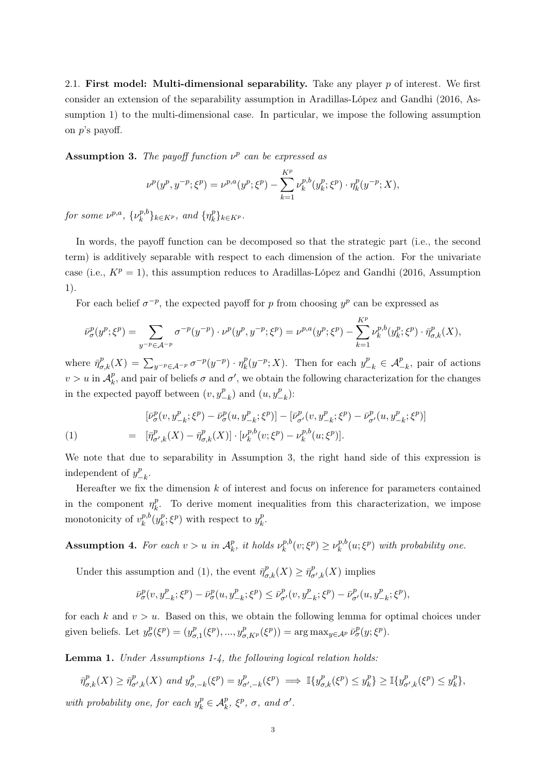2.1. First model: Multi-dimensional separability. Take any player *p* of interest. We first consider an extension of the separability assumption in Aradillas-López and Gandhi (2016, Assumption 1) to the multi-dimensional case. In particular, we impose the following assumption on *p*'s payoff.

Assumption 3. The payoff function  $\nu^p$  can be expressed as

$$
\nu^{p}(y^{p}, y^{-p}; \xi^{p}) = \nu^{p,a}(y^{p}; \xi^{p}) - \sum_{k=1}^{K^{p}} \nu_{k}^{p,b}(y_{k}^{p}; \xi^{p}) \cdot \eta_{k}^{p}(y^{-p}; X),
$$

*for some*  $\nu^{p,a}, \{\nu_k^{p,b}\}_{k \in K^p},$  and  $\{\eta_k^p\}_{k \in K^p}.$ 

In words, the payoff function can be decomposed so that the strategic part (i.e., the second term) is additively separable with respect to each dimension of the action. For the univariate case (i.e.,  $K^p = 1$ ), this assumption reduces to Aradillas-López and Gandhi (2016, Assumption 1).

For each belief  $\sigma^{-p}$ , the expected payoff for *p* from choosing  $y^p$  can be expressed as

$$
\bar{\nu}_{\sigma}^{p}(y^{p}; \xi^{p}) = \sum_{y^{-p} \in \mathcal{A}^{-p}} \sigma^{-p}(y^{-p}) \cdot \nu^{p}(y^{p}, y^{-p}; \xi^{p}) = \nu^{p, a}(y^{p}; \xi^{p}) - \sum_{k=1}^{K^{p}} \nu_{k}^{p, b}(y_{k}^{p}; \xi^{p}) \cdot \bar{\eta}_{\sigma, k}^{p}(X),
$$

where  $\bar{\eta}^p_{\sigma,k}(X) = \sum_{y^{-p} \in A^{-p}} \sigma^{-p}(y^{-p}) \cdot \eta_k^p(y^{-p}; X)$ . Then for each  $y_{-k}^p \in A_{-k}^p$ , pair of actions  $v > u$  in  $\mathcal{A}_k^p$ , and pair of beliefs  $\sigma$  and  $\sigma'$ , we obtain the following characterization for the changes in the expected payoff between  $(v, y_{-k}^p)$  and  $(u, y_{-k}^p)$ :

(1) 
$$
\begin{aligned} [\bar{\nu}^p_{\sigma}(v, y^p_{-k}; \xi^p) - \bar{\nu}^p_{\sigma}(u, y^p_{-k}; \xi^p)] - [\bar{\nu}^p_{\sigma'}(v, y^p_{-k}; \xi^p) - \bar{\nu}^p_{\sigma'}(u, y^p_{-k}; \xi^p)] \\ = [\bar{\eta}^p_{\sigma', k}(X) - \bar{\eta}^p_{\sigma, k}(X)] \cdot [\nu^{p, b}_k(v; \xi^p) - \nu^{p, b}_k(u; \xi^p)]. \end{aligned}
$$

We note that due to separability in Assumption 3, the right hand side of this expression is independent of  $y_{-k}^p$ .

Hereafter we fix the dimension *k* of interest and focus on inference for parameters contained in the component  $\eta_k^p$ . To derive moment inequalities from this characterization, we impose monotonicity of  $v_k^{p,b}(y_k^p; \xi^p)$  with respect to  $y_k^p$ .

Assumption 4. For each  $v > u$  in  $\mathcal{A}_k^p$ , it holds  $\nu_k^{p,b}(v; \xi^p) \geq \nu_k^{p,b}(u; \xi^p)$  with probability one.

Under this assumption and (1), the event  $\bar{\eta}^p_{\sigma,k}(X) \geq \bar{\eta}^p_{\sigma',k}(X)$  implies

$$
\bar{\nu}_\sigma^p(v,y_{-k}^p;\xi^p)-\bar{\nu}_\sigma^p(u,y_{-k}^p;\xi^p)\leq \bar{\nu}_{\sigma'}^p(v,y_{-k}^p;\xi^p)-\bar{\nu}_{\sigma'}^p(u,y_{-k}^p;\xi^p),
$$

for each  $k$  and  $v > u$ . Based on this, we obtain the following lemma for optimal choices under given beliefs. Let  $y^p_\sigma(\xi^p) = (y^p_{\sigma,1}(\xi^p), ..., y^p_{\sigma,K^p}(\xi^p)) = \arg \max_{y \in A^p} \bar{\nu}^p_\sigma(y; \xi^p)$ .

Lemma 1. *Under Assumptions 1-4, the following logical relation holds:*

$$
\bar{\eta}^p_{\sigma,k}(X) \ge \bar{\eta}^p_{\sigma',k}(X) \text{ and } y^p_{\sigma,-k}(\xi^p) = y^p_{\sigma',-k}(\xi^p) \implies \mathbb{I}\{y^p_{\sigma,k}(\xi^p) \le y^p_k\} \ge \mathbb{I}\{y^p_{\sigma',k}(\xi^p) \le y^p_k\},
$$

*with probability one, for each*  $y_k^p \in A_k^p$ ,  $\xi^p$ ,  $\sigma$ , and  $\sigma'$ .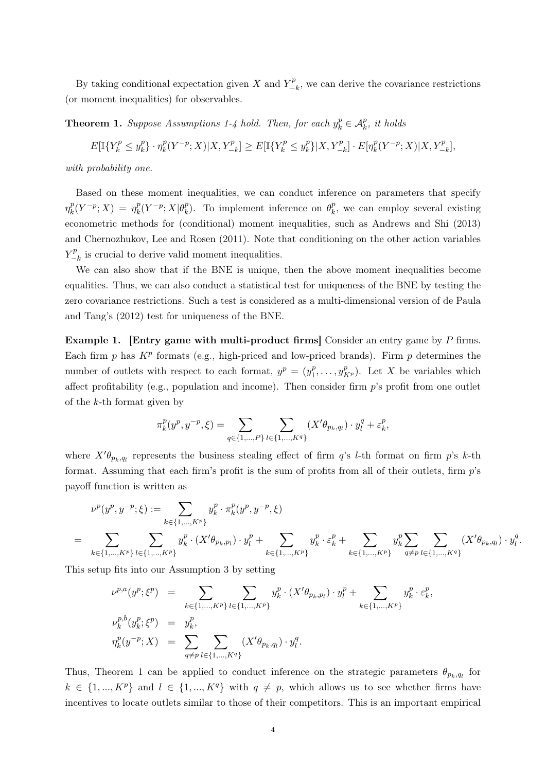By taking conditional expectation given *X* and  $Y_{-k}^p$ , we can derive the covariance restrictions (or moment inequalities) for observables.

**Theorem 1.** *Suppose Assumptions 1-4 hold. Then, for each*  $y_k^p \in A_k^p$ *, it holds* 

 $E[\mathbb{I}{Y_k^p \leq y_k^p}]\cdot \eta_k^p(Y^{-p};X)|X,Y_{-k}^p] \geq E[\mathbb{I}{Y_k^p \leq y_k^p}]|X,Y_{-k}^p]\cdot E[\eta_k^p(Y^{-p};X)|X,Y_{-k}^p],$ 

*with probability one.*

Based on these moment inequalities, we can conduct inference on parameters that specify  $\eta_k^p(Y^{-p}; X) = \eta_k^p(Y^{-p}; X | \theta_k^p)$ . To implement inference on  $\theta_k^p$ , we can employ several existing econometric methods for (conditional) moment inequalities, such as Andrews and Shi (2013) and Chernozhukov, Lee and Rosen (2011). Note that conditioning on the other action variables  $Y_{-k}^p$  is crucial to derive valid moment inequalities.

We can also show that if the BNE is unique, then the above moment inequalities become equalities. Thus, we can also conduct a statistical test for uniqueness of the BNE by testing the zero covariance restrictions. Such a test is considered as a multi-dimensional version of de Paula and Tang's (2012) test for uniqueness of the BNE.

Example 1. [Entry game with multi-product firms] Consider an entry game by *P* firms. Each firm  $p$  has  $K^p$  formats (e.g., high-priced and low-priced brands). Firm  $p$  determines the number of outlets with respect to each format,  $y^p = (y_1^p, \ldots, y_{K^p}^p)$ . Let *X* be variables which affect profitability (e.g., population and income). Then consider firm *p*'s profit from one outlet of the *k*-th format given by

$$
\pi_k^p(y^p, y^{-p}, \xi) = \sum_{q \in \{1, \dots, P\}} \sum_{l \in \{1, \dots, K^q\}} (X' \theta_{p_k, q_l}) \cdot y_l^q + \varepsilon_k^p,
$$

where  $X^{\prime}\theta_{p_k,q_l}$  represents the business stealing effect of firm *q*'s *l*-th format on firm *p*'s *k*-th format. Assuming that each firm's profit is the sum of profits from all of their outlets, firm *p*'s payoff function is written as

$$
\nu^{p}(y^{p}, y^{-p}; \xi) := \sum_{k \in \{1, \dots, K^{p}\}} y_{k}^{p} \cdot \pi_{k}^{p}(y^{p}, y^{-p}, \xi)
$$
  
= 
$$
\sum_{k \in \{1, \dots, K^{p}\}} \sum_{l \in \{1, \dots, K^{p}\}} y_{k}^{p} \cdot (X' \theta_{p_{k}, p_{l}}) \cdot y_{l}^{p} + \sum_{k \in \{1, \dots, K^{p}\}} y_{k}^{p} \cdot \varepsilon_{k}^{p} + \sum_{k \in \{1, \dots, K^{p}\}} y_{k}^{p} \sum_{q \neq p} \sum_{l \in \{1, \dots, K^{q}\}} (X' \theta_{p_{k}, q_{l}}) \cdot y_{l}^{q}.
$$

This setup fits into our Assumption 3 by setting

$$
\nu^{p,a}(y^p; \xi^p) = \sum_{k \in \{1, \dots, K^p\}} \sum_{l \in \{1, \dots, K^p\}} y_k^p \cdot (X' \theta_{p_k, p_l}) \cdot y_l^p + \sum_{k \in \{1, \dots, K^p\}} y_k^p \cdot \varepsilon_k^p,
$$
  

$$
\nu_k^{p,b}(y_k^p; \xi^p) = y_k^p,
$$
  

$$
\eta_k^p(y^{-p}; X) = \sum_{q \neq p} \sum_{l \in \{1, \dots, K^q\}} (X' \theta_{p_k, q_l}) \cdot y_l^q.
$$

Thus, Theorem 1 can be applied to conduct inference on the strategic parameters  $\theta_{p_k,q_l}$  for  $k \in \{1, ..., K^p\}$  and  $l \in \{1, ..., K^q\}$  with  $q \neq p$ , which allows us to see whether firms have incentives to locate outlets similar to those of their competitors. This is an important empirical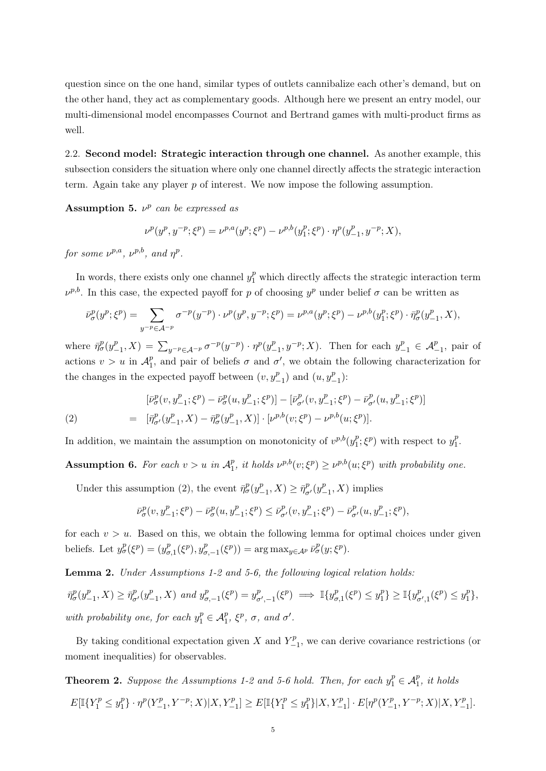question since on the one hand, similar types of outlets cannibalize each other's demand, but on the other hand, they act as complementary goods. Although here we present an entry model, our multi-dimensional model encompasses Cournot and Bertrand games with multi-product firms as well.

2.2. Second model: Strategic interaction through one channel. As another example, this subsection considers the situation where only one channel directly affects the strategic interaction term. Again take any player *p* of interest. We now impose the following assumption.

Assumption 5.  $\nu^p$  *can be expressed as* 

$$
\nu^{p}(y^{p}, y^{-p}; \xi^{p}) = \nu^{p,a}(y^{p}; \xi^{p}) - \nu^{p,b}(y_{1}^{p}; \xi^{p}) \cdot \eta^{p}(y_{-1}^{p}, y^{-p}; X),
$$

*for some*  $\nu^{p,a}$ *,*  $\nu^{p,b}$ *, and*  $\nu^p$ *.* 

In words, there exists only one channel  $y_1^p$  which directly affects the strategic interaction term  $\nu^{p,b}$ . In this case, the expected payoff for *p* of choosing  $y^p$  under belief  $\sigma$  can be written as

$$
\bar{\nu}_\sigma^p(y^p; \xi^p) = \sum_{y^{-p} \in \mathcal{A}^{-p}} \sigma^{-p}(y^{-p}) \cdot \nu^p(y^p, y^{-p}; \xi^p) = \nu^{p, a}(y^p; \xi^p) - \nu^{p, b}(y_1^p; \xi^p) \cdot \bar{\eta}_\sigma^p(y_{-1}^p, X),
$$

where  $\bar{\eta}_{\sigma}^p(y_{-1}^p, X) = \sum_{y^{-p} \in A^{-p}} \sigma^{-p}(y^{-p}) \cdot \eta^p(y_{-1}^p, y^{-p}; X)$ . Then for each  $y_{-1}^p \in A_{-1}^p$ , pair of actions  $v > u$  in  $\mathcal{A}_{1}^{p}$ , and pair of beliefs  $\sigma$  and  $\sigma'$ , we obtain the following characterization for the changes in the expected payoff between  $(v, y_{-1}^p)$  and  $(u, y_{-1}^p)$ :

(2) 
$$
\left[ \bar{\nu}_{\sigma}^{p}(v, y_{-1}^{p}; \xi^{p}) - \bar{\nu}_{\sigma}^{p}(u, y_{-1}^{p}; \xi^{p}) \right] - \left[ \bar{\nu}_{\sigma'}^{p}(v, y_{-1}^{p}; \xi^{p}) - \bar{\nu}_{\sigma'}^{p}(u, y_{-1}^{p}; \xi^{p}) \right]
$$

$$
= \left[ \bar{\eta}_{\sigma'}^{p}(y_{-1}^{p}, X) - \bar{\eta}_{\sigma}^{p}(y_{-1}^{p}, X) \right] \cdot \left[ \nu^{p,b}(v; \xi^{p}) - \nu^{p,b}(u; \xi^{p}) \right].
$$

In addition, we maintain the assumption on monotonicity of  $v^{p,b}(y_1^p; \xi^p)$  with respect to  $y_1^p$ .

Assumption 6. For each  $v > u$  in  $\mathcal{A}_{1}^{p}$ , it holds  $\nu^{p,b}(v;\xi^{p}) \geq \nu^{p,b}(u;\xi^{p})$  with probability one.

Under this assumption (2), the event  $\bar{\eta}_{\sigma}^p(y_{-1}^p, X) \geq \bar{\eta}_{\sigma'}^p(y_{-1}^p, X)$  implies

$$
\bar{\nu}_\sigma^p(v,y_{-1}^p;\xi^p)-\bar{\nu}_\sigma^p(u,y_{-1}^p;\xi^p)\leq \bar{\nu}_{\sigma'}^p(v,y_{-1}^p;\xi^p)-\bar{\nu}_{\sigma'}^p(u,y_{-1}^p;\xi^p),
$$

for each  $v > u$ . Based on this, we obtain the following lemma for optimal choices under given beliefs. Let  $y^p_\sigma(\xi^p) = (y^p_{\sigma,1}(\xi^p), y^p_{\sigma,-1}(\xi^p)) = \arg \max_{y \in A^p} \bar{\nu}^p_\sigma(y; \xi^p)$ .

Lemma 2. *Under Assumptions 1-2 and 5-6, the following logical relation holds:*

 $\bar{\eta}_{\sigma}^p(y_{-1}^p, X) \geq \bar{\eta}_{\sigma'}^p(y_{-1}^p, X)$  and  $y_{\sigma, -1}^p(\xi^p) = y_{\sigma', -1}^p(\xi^p) \implies \mathbb{I}\{y_{\sigma, 1}^p(\xi^p) \leq y_1^p\} \geq \mathbb{I}\{y_{\sigma', 1}^p(\xi^p) \leq y_1^p\},$ *with probability one, for each*  $y_1^p \in \mathcal{A}_1^p$ ,  $\xi^p$ ,  $\sigma$ , and  $\sigma'$ .

By taking conditional expectation given *X* and  $Y_{-1}^p$ , we can derive covariance restrictions (or moment inequalities) for observables.

**Theorem 2.** Suppose the Assumptions 1-2 and 5-6 hold. Then, for each  $y_1^p \in A_1^p$ , it holds  $E[\mathbb{I}\{Y_1^p \leq y_1^p\} \cdot \eta^p(Y_{-1}^p,Y^{-p};X) | X,Y_{-1}^p] \geq E[\mathbb{I}\{Y_1^p \leq y_1^p\} | X,Y_{-1}^p] \cdot E[\eta^p(Y_{-1}^p,Y^{-p};X) | X,Y_{-1}^p].$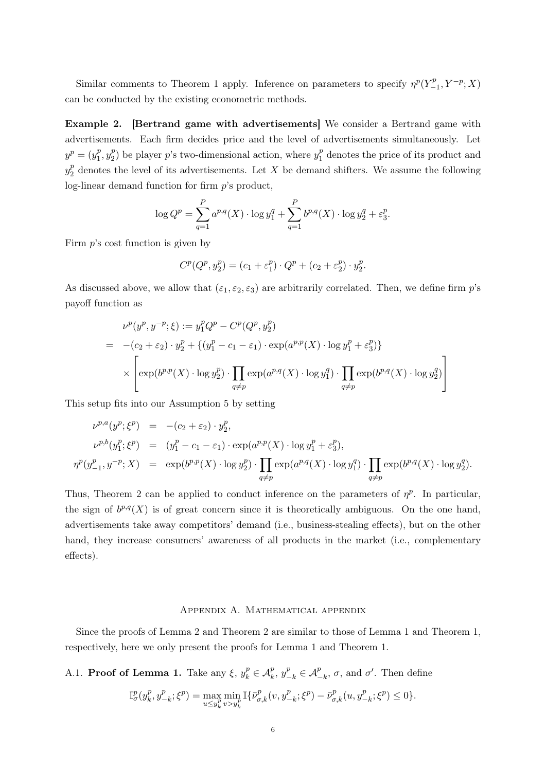Similar comments to Theorem 1 apply. Inference on parameters to specify  $\eta^p(Y_{-1}^p, Y^{-p}; X)$ can be conducted by the existing econometric methods.

Example 2. [Bertrand game with advertisements] We consider a Bertrand game with advertisements. Each firm decides price and the level of advertisements simultaneously. Let  $y^p = (y_1^p, y_2^p)$  be player *p*'s two-dimensional action, where  $y_1^p$  denotes the price of its product and  $y_2^p$  denotes the level of its advertisements. Let *X* be demand shifters. We assume the following log-linear demand function for firm *p*'s product,

$$
\log Q^{p} = \sum_{q=1}^{P} a^{p,q}(X) \cdot \log y_1^{q} + \sum_{q=1}^{P} b^{p,q}(X) \cdot \log y_2^{q} + \varepsilon_3^{p}.
$$

Firm *p*'s cost function is given by

$$
C^{p}(Q^{p}, y_2^{p}) = (c_1 + \varepsilon_1^{p}) \cdot Q^{p} + (c_2 + \varepsilon_2^{p}) \cdot y_2^{p}.
$$

As discussed above, we allow that  $(\varepsilon_1, \varepsilon_2, \varepsilon_3)$  are arbitrarily correlated. Then, we define firm  $p$ 's payoff function as

$$
\nu^{p}(y^{p}, y^{-p}; \xi) := y_{1}^{p}Q^{p} - C^{p}(Q^{p}, y_{2}^{p})
$$
\n
$$
= -(c_{2} + \varepsilon_{2}) \cdot y_{2}^{p} + \{(y_{1}^{p} - c_{1} - \varepsilon_{1}) \cdot \exp(a^{p, p}(X) \cdot \log y_{1}^{p} + \varepsilon_{3}^{p})\}
$$
\n
$$
\times \left[ \exp(b^{p, p}(X) \cdot \log y_{2}^{p}) \cdot \prod_{q \neq p} \exp(a^{p, q}(X) \cdot \log y_{1}^{q}) \cdot \prod_{q \neq p} \exp(b^{p, q}(X) \cdot \log y_{2}^{q}) \right]
$$

This setup fits into our Assumption 5 by setting

$$
\nu^{p,a}(y^p; \xi^p) = -(c_2 + \varepsilon_2) \cdot y_2^p,
$$
  
\n
$$
\nu^{p,b}(y_1^p; \xi^p) = (y_1^p - c_1 - \varepsilon_1) \cdot \exp(a^{p,p}(X) \cdot \log y_1^p + \varepsilon_3^p),
$$
  
\n
$$
\eta^p(y_{-1}^p, y^{-p}; X) = \exp(b^{p,p}(X) \cdot \log y_2^p) \cdot \prod_{q \neq p} \exp(a^{p,q}(X) \cdot \log y_1^q) \cdot \prod_{q \neq p} \exp(b^{p,q}(X) \cdot \log y_2^q).
$$

Thus, Theorem 2 can be applied to conduct inference on the parameters of  $\eta^p$ . In particular, the sign of  $b^{p,q}(X)$  is of great concern since it is theoretically ambiguous. On the one hand, advertisements take away competitors' demand (i.e., business-stealing effects), but on the other hand, they increase consumers' awareness of all products in the market (i.e., complementary effects).

#### Appendix A. Mathematical appendix

Since the proofs of Lemma 2 and Theorem 2 are similar to those of Lemma 1 and Theorem 1, respectively, here we only present the proofs for Lemma 1 and Theorem 1.

A.1. **Proof of Lemma 1.** Take any  $\xi$ ,  $y_k^p \in A_k^p$ ,  $y_{-k}^p \in A_{-k}^p$ ,  $\sigma$ , and  $\sigma'$ . Then define

$$
\mathbb{I}^p_\sigma(y^p_k,y^p_{-k};\xi^p)=\max_{u\leq y^p_k}\min_{v>y^p_k}\mathbb{I}\{\bar{\nu}^p_{\sigma,k}(v,y^p_{-k};\xi^p)-\bar{\nu}^p_{\sigma,k}(u,y^p_{-k};\xi^p)\leq 0\}.
$$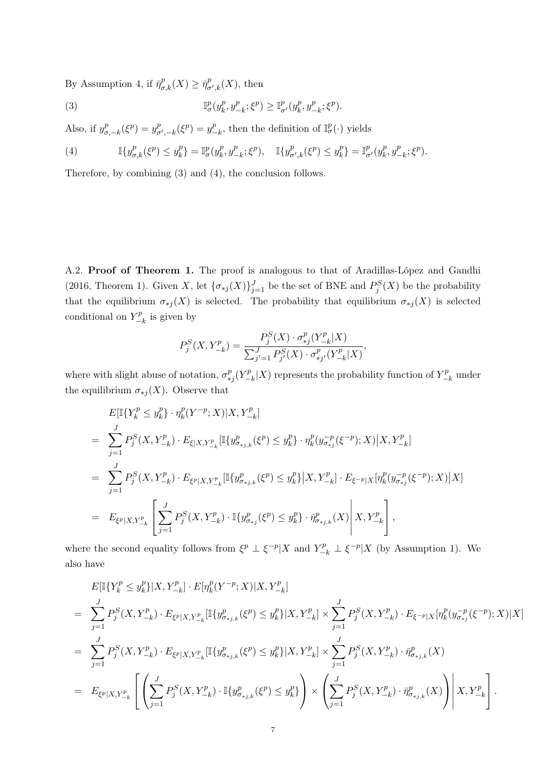By Assumption 4, if  $\bar{\eta}_{\sigma,k}^p(X) \geq \bar{\eta}_{\sigma',k}^p(X)$ , then

(3) 
$$
\mathbb{I}_{\sigma}^{p}(y_{k}^{p}, y_{-k}^{p}; \xi^{p}) \geq \mathbb{I}_{\sigma'}^{p}(y_{k}^{p}, y_{-k}^{p}; \xi^{p}).
$$

Also, if  $y_{\sigma,-k}^p(\xi^p) = y_{\sigma',-k}^p(\xi^p) = y_{-k}^p$ , then the definition of  $\mathbb{I}_{\sigma}^p(\cdot)$  yields

(4) 
$$
\mathbb{I}\{y_{\sigma,k}^p(\xi^p) \leq y_k^p\} = \mathbb{I}_{\sigma}^p(y_k^p, y_{-k}^p; \xi^p), \quad \mathbb{I}\{y_{\sigma',k}^p(\xi^p) \leq y_k^p\} = \mathbb{I}_{\sigma'}^p(y_k^p, y_{-k}^p; \xi^p).
$$

Therefore, by combining (3) and (4), the conclusion follows.

A.2. Proof of Theorem 1. The proof is analogous to that of Aradillas-López and Gandhi (2016, Theorem 1). Given *X*, let  $\{\sigma_{*j}(X)\}_{j=1}^J$  be the set of BNE and  $P_j^S(X)$  be the probability that the equilibrium  $\sigma_{*j}(X)$  is selected. The probability that equilibrium  $\sigma_{*j}(X)$  is selected conditional on  $Y_{-k}^p$  is given by

$$
P_j^S(X, Y_{-k}^p) = \frac{P_j^S(X) \cdot \sigma_{*j}^p(Y_{-k}^p | X)}{\sum_{j'=1}^J P_{j'}^S(X) \cdot \sigma_{*j'}^p(Y_{-k}^p | X)},
$$

where with slight abuse of notation,  $\sigma_{*j}^p(Y_{-k}^p|X)$  represents the probability function of  $Y_{-k}^p$  under the equilibrium  $\sigma_{*j}(X)$ . Observe that

$$
E[\mathbb{I}\{Y_k^p \le y_k^p\} \cdot \eta_k^p(Y^{-p}; X)|X, Y_{-k}^p]
$$
\n
$$
= \sum_{j=1}^J P_j^S(X, Y_{-k}^p) \cdot E_{\xi|X, Y_{-k}^p}[\mathbb{I}\{y_{\sigma_{*j,k}}^p(\xi^p) \le y_k^p\} \cdot \eta_k^p(y_{\sigma_{*j}}^{-p}(\xi^{-p}); X)|X, Y_{-k}^p]
$$
\n
$$
= \sum_{j=1}^J P_j^S(X, Y_{-k}^p) \cdot E_{\xi^p|X, Y_{-k}^p}[\mathbb{I}\{y_{\sigma_{*j,k}}^p(\xi^p) \le y_k^p\}|X, Y_{-k}^p] \cdot E_{\xi^{-p}|X}[\eta_k^p(y_{\sigma_{*j}}^{-p}(\xi^{-p}); X)|X]
$$
\n
$$
= E_{\xi^p|X, Y_{-k}^p} \left[ \sum_{j=1}^J P_j^S(X, Y_{-k}^p) \cdot \mathbb{I}\{y_{\sigma_{*j}}^p(\xi^p) \le y_k^p\} \cdot \bar{\eta}_{\sigma_{*j,k}}^p(X) \middle| X, Y_{-k}^p \right],
$$

where the second equality follows from  $\xi^p \perp \xi^{-p} | X$  and  $Y_{-k}^p \perp \xi^{-p} | X$  (by Assumption 1). We also have

$$
E[\mathbb{I}\{Y_{k}^{p} \leq y_{k}^{p}\}|X, Y_{-k}^{p}] \cdot E[\eta_{k}^{p}(Y^{-p}; X)|X, Y_{-k}^{p}]
$$
\n
$$
= \sum_{j=1}^{J} P_{j}^{S}(X, Y_{-k}^{p}) \cdot E_{\xi^{p}|X, Y_{-k}^{p}}[\mathbb{I}\{y_{\sigma_{*j,k}}^{p}(\xi^{p}) \leq y_{k}^{p}\}|X, Y_{-k}^{p}] \times \sum_{j=1}^{J} P_{j}^{S}(X, Y_{-k}^{p}) \cdot E_{\xi^{-p}|X}[\eta_{k}^{p}(y_{\sigma_{*j}}^{-p}(\xi^{-p}); X)|X]
$$
\n
$$
= \sum_{j=1}^{J} P_{j}^{S}(X, Y_{-k}^{p}) \cdot E_{\xi^{p}|X, Y_{-k}^{p}}[\mathbb{I}\{y_{\sigma_{*j,k}}^{p}(\xi^{p}) \leq y_{k}^{p}\}|X, Y_{-k}^{p}] \times \sum_{j=1}^{J} P_{j}^{S}(X, Y_{-k}^{p}) \cdot \bar{\eta}_{\sigma_{*j,k}}^{p}(X)
$$
\n
$$
= E_{\xi^{p}|X, Y_{-k}^{p}}\left[\left(\sum_{j=1}^{J} P_{j}^{S}(X, Y_{-k}^{p}) \cdot \mathbb{I}\{y_{\sigma_{*j,k}}^{p}(\xi^{p}) \leq y_{k}^{p}\}\right) \times \left(\sum_{j=1}^{J} P_{j}^{S}(X, Y_{-k}^{p}) \cdot \bar{\eta}_{\sigma_{*j,k}}^{p}(X)\right) \middle| X, Y_{-k}^{p}\right].
$$